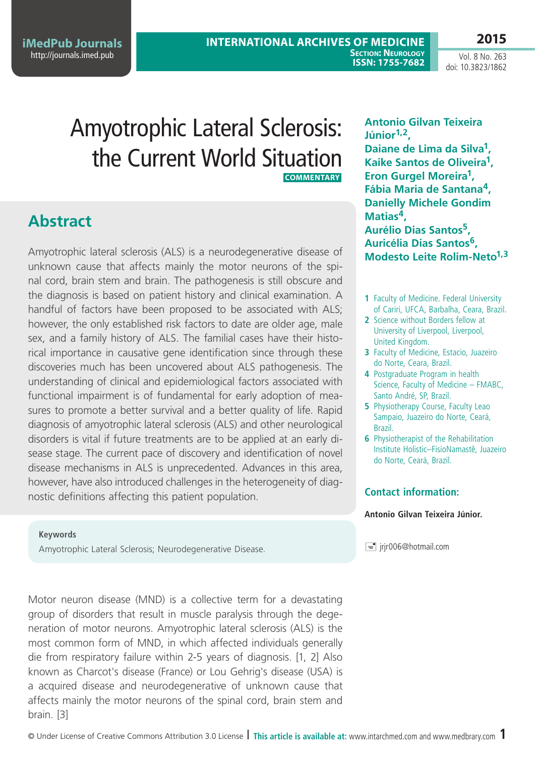**iMedPub Journals** <http://journals.imed.pub>

**ISSN: 1755-7682** Vol. 8 No. 263 doi: 10.3823/1862

**2015**

# Amyotrophic Lateral Sclerosis: the Current World Situation **Commentary**

## **Abstract**

Amyotrophic lateral sclerosis (ALS) is a neurodegenerative disease of unknown cause that affects mainly the motor neurons of the spinal cord, brain stem and brain. The pathogenesis is still obscure and the diagnosis is based on patient history and clinical examination. A handful of factors have been proposed to be associated with ALS; however, the only established risk factors to date are older age, male sex, and a family history of ALS. The familial cases have their historical importance in causative gene identification since through these discoveries much has been uncovered about ALS pathogenesis. The understanding of clinical and epidemiological factors associated with functional impairment is of fundamental for early adoption of measures to promote a better survival and a better quality of life. Rapid diagnosis of amyotrophic lateral sclerosis (ALS) and other neurological disorders is vital if future treatments are to be applied at an early disease stage. The current pace of discovery and identification of novel disease mechanisms in ALS is unprecedented. Advances in this area, however, have also introduced challenges in the heterogeneity of diagnostic definitions affecting this patient population.

**Antonio Gilvan Teixeira Júnior1,2, Daiane de Lima da Silva1, Kaike Santos de Oliveira1, Eron Gurgel Moreira1, Fábia Maria de Santana4, Danielly Michele Gondim Matias4,**  Aurélio Dias Santos<sup>5</sup>, **Auricélia Dias Santos6, Modesto Leite Rolim-Neto1,3**

- **1** Faculty of Medicine. Federal University of Cariri, UFCA, Barbalha, Ceara, Brazil.
- **2** Science without Borders fellow at University of Liverpool, Liverpool, United Kingdom.
- **3** Faculty of Medicine, Estacio, Juazeiro do Norte, Ceara, Brazil.
- **4** Postgraduate Program in health Science, Faculty of Medicine – FMABC, Santo André, SP, Brazil.
- **5** Physiotherapy Course, Faculty Leao Sampaio, Juazeiro do Norte, Ceará, Brazil.
- **6** Physiotherapist of the Rehabilitation Institute Holistic–FisioNamastê, Juazeiro do Norte, Ceará, Brazil.

### **Contact information:**

### **Antonio Gilvan Teixeira Júnior.**

 $\equiv$ irjr006@hotmail.com

**Keywords** Amyotrophic Lateral Sclerosis; Neurodegenerative Disease.

Motor neuron disease (MND) is a collective term for a devastating group of disorders that result in muscle paralysis through the degeneration of motor neurons. Amyotrophic lateral sclerosis (ALS) is the most common form of MND, in which affected individuals generally die from respiratory failure within 2-5 years of diagnosis. [1, 2] Also known as Charcot's disease (France) or Lou Gehrig's disease (USA) is a acquired disease and neurodegenerative of unknown cause that affects mainly the motor neurons of the spinal cord, brain stem and brain. [3]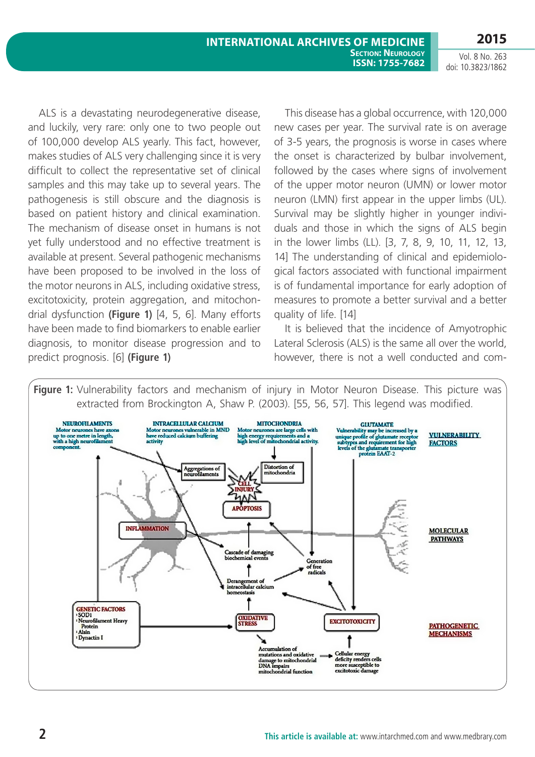ALS is a devastating neurodegenerative disease, and luckily, very rare: only one to two people out of 100,000 develop ALS yearly. This fact, however, makes studies of ALS very challenging since it is very difficult to collect the representative set of clinical samples and this may take up to several years. The pathogenesis is still obscure and the diagnosis is based on patient history and clinical examination. The mechanism of disease onset in humans is not yet fully understood and no effective treatment is available at present. Several pathogenic mechanisms have been proposed to be involved in the loss of the motor neurons in ALS, including oxidative stress, excitotoxicity, protein aggregation, and mitochondrial dysfunction **(Figure 1)** [4, 5, 6]. Many efforts have been made to find biomarkers to enable earlier diagnosis, to monitor disease progression and to predict prognosis. [6] **(Figure 1)**

This disease has a global occurrence, with 120,000 new cases per year. The survival rate is on average of 3-5 years, the prognosis is worse in cases where the onset is characterized by bulbar involvement, followed by the cases where signs of involvement of the upper motor neuron (UMN) or lower motor neuron (LMN) first appear in the upper limbs (UL). Survival may be slightly higher in younger individuals and those in which the signs of ALS begin in the lower limbs (LL). [3, 7, 8, 9, 10, 11, 12, 13, 14] The understanding of clinical and epidemiological factors associated with functional impairment is of fundamental importance for early adoption of measures to promote a better survival and a better quality of life. [14]

It is believed that the incidence of Amyotrophic Lateral Sclerosis (ALS) is the same all over the world, however, there is not a well conducted and com-

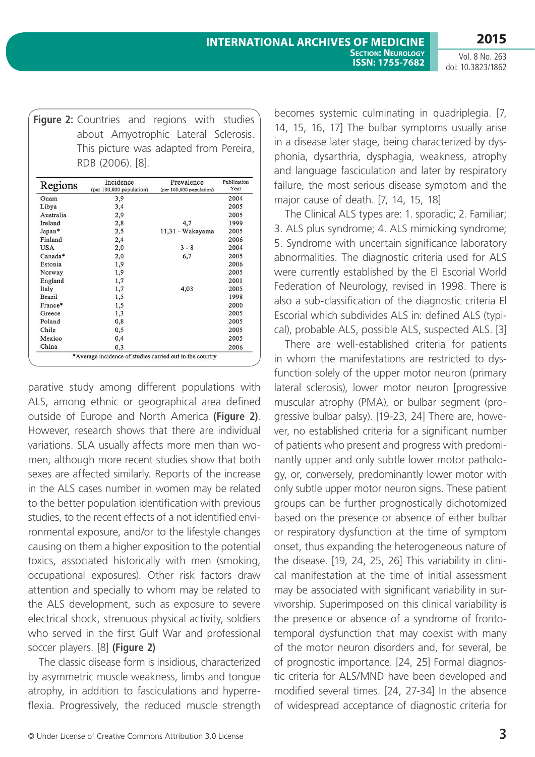| <b>Figure 2:</b> Countries and regions with studies |  |  |  |
|-----------------------------------------------------|--|--|--|
| about Amyotrophic Lateral Sclerosis.                |  |  |  |
| This picture was adapted from Pereira,              |  |  |  |
| RDB (2006). [8].                                    |  |  |  |
|                                                     |  |  |  |

| Regions    | Incidence<br>(per 100,000 population) | Prevalence<br>(per 100,000 population) | Publication<br>Year |
|------------|---------------------------------------|----------------------------------------|---------------------|
| Guam       | 3,9                                   |                                        | 2004                |
| Libya      | 3,4                                   |                                        | 2005                |
| Australia  | 2,9                                   |                                        | 2005                |
| Ireland    | 2,8                                   | 4,7                                    | 1999                |
| Japan*     | 2,5                                   | 11,31 - Wakayama                       | 2005                |
| Finland    | 2,4                                   |                                        | 2006                |
| <b>USA</b> | 2,0                                   | $3 - 8$                                | 2004                |
| Canada*    | 2,0                                   | 6,7                                    | 2005                |
| Estonia    | 1,9                                   |                                        | 2006                |
| Norway     | 1,9                                   |                                        | 2005                |
| England    | 1,7                                   |                                        | 2001                |
| Italy      | 1,7                                   | 4,03                                   | 2005                |
| Brazil     | 1,5                                   |                                        | 1998                |
| France*    | 1,5                                   |                                        | 2000                |
| Greece     | 1,3                                   |                                        | 2005                |
| Poland     | 0,8                                   |                                        | 2005                |
| Chile      | 0,5                                   |                                        | 2005                |
| Mexico     | 0,4                                   |                                        | 2005                |
| China      | 0,3                                   |                                        | 2006                |

parative study among different populations with ALS, among ethnic or geographical area defined outside of Europe and North America **(Figure 2)**. However, research shows that there are individual variations. SLA usually affects more men than women, although more recent studies show that both sexes are affected similarly. Reports of the increase in the ALS cases number in women may be related to the better population identification with previous studies, to the recent effects of a not identified environmental exposure, and/or to the lifestyle changes causing on them a higher exposition to the potential toxics, associated historically with men (smoking, occupational exposures). Other risk factors draw attention and specially to whom may be related to the ALS development, such as exposure to severe electrical shock, strenuous physical activity, soldiers who served in the first Gulf War and professional soccer players. [8] **(Figure 2)**

The classic disease form is insidious, characterized by asymmetric muscle weakness, limbs and tongue atrophy, in addition to fasciculations and hyperreflexia. Progressively, the reduced muscle strength becomes systemic culminating in quadriplegia. [7, 14, 15, 16, 17] The bulbar symptoms usually arise in a disease later stage, being characterized by dysphonia, dysarthria, dysphagia, weakness, atrophy and language fasciculation and later by respiratory failure, the most serious disease symptom and the major cause of death. [7, 14, 15, 18]

The Clinical ALS types are: 1. sporadic; 2. Familiar; 3. ALS plus syndrome; 4. ALS mimicking syndrome; 5. Syndrome with uncertain significance laboratory abnormalities. The diagnostic criteria used for ALS were currently established by the El Escorial World Federation of Neurology, revised in 1998. There is also a sub-classification of the diagnostic criteria El Escorial which subdivides ALS in: defined ALS (typical), probable ALS, possible ALS, suspected ALS. [3]

There are well-established criteria for patients in whom the manifestations are restricted to dysfunction solely of the upper motor neuron (primary lateral sclerosis), lower motor neuron [progressive muscular atrophy (PMA), or bulbar segment (progressive bulbar palsy). [19-23, 24] There are, however, no established criteria for a significant number of patients who present and progress with predominantly upper and only subtle lower motor pathology, or, conversely, predominantly lower motor with only subtle upper motor neuron signs. These patient groups can be further prognostically dichotomized based on the presence or absence of either bulbar or respiratory dysfunction at the time of symptom onset, thus expanding the heterogeneous nature of the disease. [19, 24, 25, 26] This variability in clinical manifestation at the time of initial assessment may be associated with significant variability in survivorship. Superimposed on this clinical variability is the presence or absence of a syndrome of frontotemporal dysfunction that may coexist with many of the motor neuron disorders and, for several, be of prognostic importance. [24, 25] Formal diagnostic criteria for ALS/MND have been developed and modified several times. [24, 27-34] In the absence of widespread acceptance of diagnostic criteria for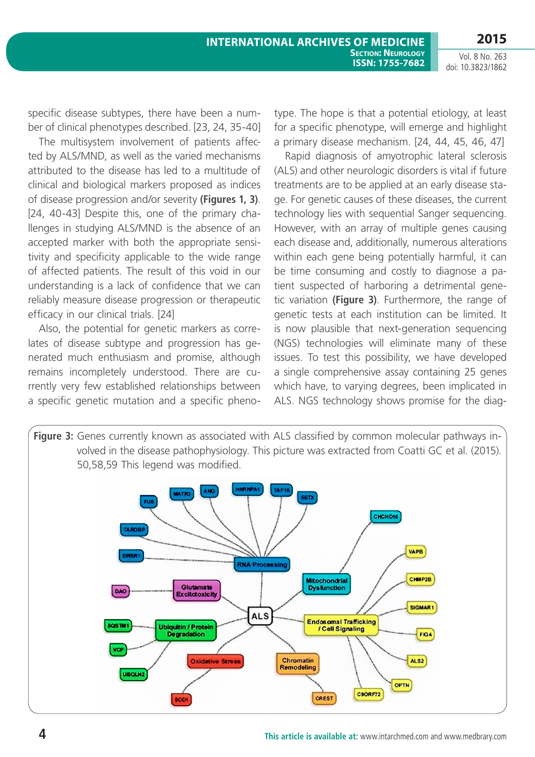specific disease subtypes, there have been a number of clinical phenotypes described. [23, 24, 35-40]

The multisystem involvement of patients affected by ALS/MND, as well as the varied mechanisms attributed to the disease has led to a multitude of clinical and biological markers proposed as indices of disease progression and/or severity **(Figures 1, 3)**. [24, 40-43] Despite this, one of the primary challenges in studying ALS/MND is the absence of an accepted marker with both the appropriate sensitivity and specificity applicable to the wide range of affected patients. The result of this void in our understanding is a lack of confidence that we can reliably measure disease progression or therapeutic efficacy in our clinical trials. [24]

Also, the potential for genetic markers as correlates of disease subtype and progression has generated much enthusiasm and promise, although remains incompletely understood. There are currently very few established relationships between a specific genetic mutation and a specific phenotype. The hope is that a potential etiology, at least for a specific phenotype, will emerge and highlight a primary disease mechanism. [24, 44, 45, 46, 47]

Rapid diagnosis of amyotrophic lateral sclerosis (ALS) and other neurologic disorders is vital if future treatments are to be applied at an early disease stage. For genetic causes of these diseases, the current technology lies with sequential Sanger sequencing. However, with an array of multiple genes causing each disease and, additionally, numerous alterations within each gene being potentially harmful, it can be time consuming and costly to diagnose a patient suspected of harboring a detrimental genetic variation **(Figure 3)**. Furthermore, the range of genetic tests at each institution can be limited. It is now plausible that next-generation sequencing (NGS) technologies will eliminate many of these issues. To test this possibility, we have developed a single comprehensive assay containing 25 genes which have, to varying degrees, been implicated in ALS. NGS technology shows promise for the diag-

**Figure 3:** Genes currently known as associated with ALS classified by common molecular pathways involved in the disease pathophysiology. This picture was extracted from Coatti GC et al. (2015). 50,58,59 This legend was modified.

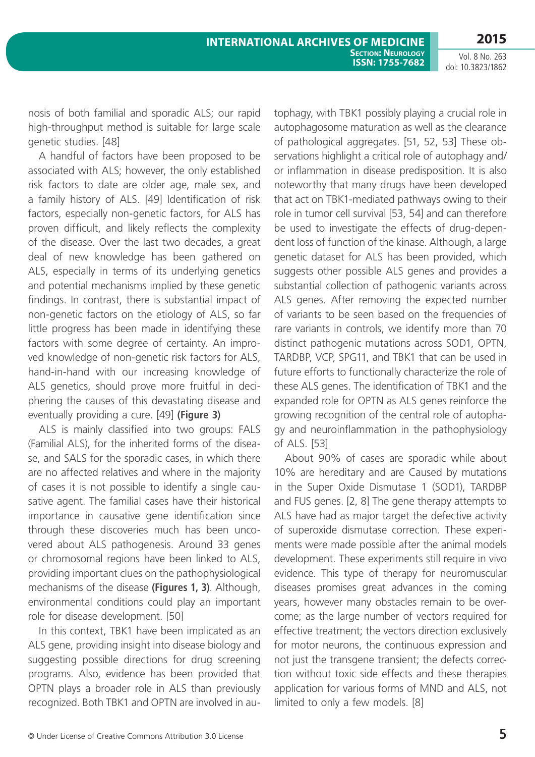**2015** Vol. 8 No. 263

doi: 10.3823/1862

nosis of both familial and sporadic ALS; our rapid high-throughput method is suitable for large scale genetic studies. [48]

A handful of factors have been proposed to be associated with ALS; however, the only established risk factors to date are older age, male sex, and a family history of ALS. [49] Identification of risk factors, especially non-genetic factors, for ALS has proven difficult, and likely reflects the complexity of the disease. Over the last two decades, a great deal of new knowledge has been gathered on ALS, especially in terms of its underlying genetics and potential mechanisms implied by these genetic findings. In contrast, there is substantial impact of non-genetic factors on the etiology of ALS, so far little progress has been made in identifying these factors with some degree of certainty. An improved knowledge of non-genetic risk factors for ALS, hand-in-hand with our increasing knowledge of ALS genetics, should prove more fruitful in deciphering the causes of this devastating disease and eventually providing a cure. [49] **(Figure 3)**

ALS is mainly classified into two groups: FALS (Familial ALS), for the inherited forms of the disease, and SALS for the sporadic cases, in which there are no affected relatives and where in the majority of cases it is not possible to identify a single causative agent. The familial cases have their historical importance in causative gene identification since through these discoveries much has been uncovered about ALS pathogenesis. Around 33 genes or chromosomal regions have been linked to ALS, providing important clues on the pathophysiological mechanisms of the disease **(Figures 1, 3)**. Although, environmental conditions could play an important role for disease development. [50]

In this context, TBK1 have been implicated as an ALS gene, providing insight into disease biology and suggesting possible directions for drug screening programs. Also, evidence has been provided that OPTN plays a broader role in ALS than previously recognized. Both TBK1 and OPTN are involved in autophagy, with TBK1 possibly playing a crucial role in autophagosome maturation as well as the clearance of pathological aggregates. [51, 52, 53] These observations highlight a critical role of autophagy and/ or inflammation in disease predisposition. It is also noteworthy that many drugs have been developed that act on TBK1-mediated pathways owing to their role in tumor cell survival [53, 54] and can therefore be used to investigate the effects of drug-dependent loss of function of the kinase. Although, a large genetic dataset for ALS has been provided, which suggests other possible ALS genes and provides a substantial collection of pathogenic variants across ALS genes. After removing the expected number of variants to be seen based on the frequencies of rare variants in controls, we identify more than 70 distinct pathogenic mutations across SOD1, OPTN, TARDBP, VCP, SPG11, and TBK1 that can be used in future efforts to functionally characterize the role of these ALS genes. The identification of TBK1 and the expanded role for OPTN as ALS genes reinforce the growing recognition of the central role of autophagy and neuroinflammation in the pathophysiology of ALS. [53]

About 90% of cases are sporadic while about 10% are hereditary and are Caused by mutations in the Super Oxide Dismutase 1 (SOD1), TARDBP and FUS genes. [2, 8] The gene therapy attempts to ALS have had as major target the defective activity of superoxide dismutase correction. These experiments were made possible after the animal models development. These experiments still require in vivo evidence. This type of therapy for neuromuscular diseases promises great advances in the coming years, however many obstacles remain to be overcome; as the large number of vectors required for effective treatment; the vectors direction exclusively for motor neurons, the continuous expression and not just the transgene transient; the defects correction without toxic side effects and these therapies application for various forms of MND and ALS, not limited to only a few models. [8]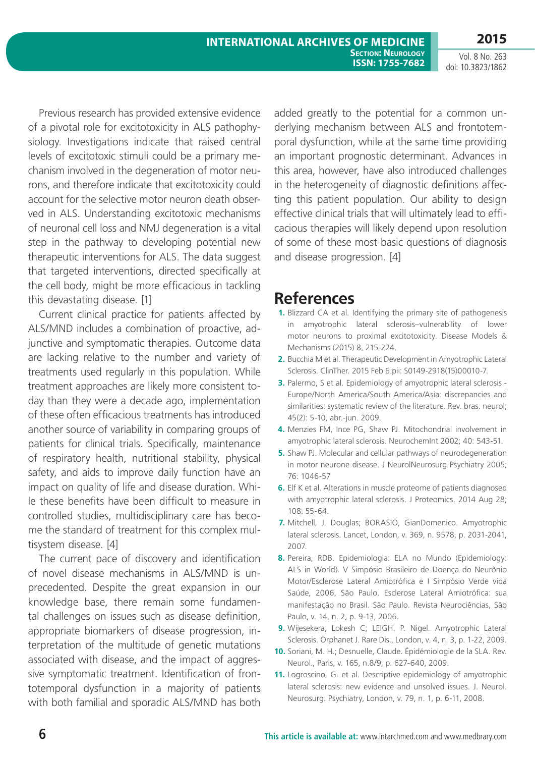Previous research has provided extensive evidence of a pivotal role for excitotoxicity in ALS pathophysiology. Investigations indicate that raised central levels of excitotoxic stimuli could be a primary mechanism involved in the degeneration of motor neurons, and therefore indicate that excitotoxicity could account for the selective motor neuron death observed in ALS. Understanding excitotoxic mechanisms of neuronal cell loss and NMJ degeneration is a vital step in the pathway to developing potential new therapeutic interventions for ALS. The data suggest that targeted interventions, directed specifically at the cell body, might be more efficacious in tackling this devastating disease. [1]

Current clinical practice for patients affected by ALS/MND includes a combination of proactive, adjunctive and symptomatic therapies. Outcome data are lacking relative to the number and variety of treatments used regularly in this population. While treatment approaches are likely more consistent today than they were a decade ago, implementation of these often efficacious treatments has introduced another source of variability in comparing groups of patients for clinical trials. Specifically, maintenance of respiratory health, nutritional stability, physical safety, and aids to improve daily function have an impact on quality of life and disease duration. While these benefits have been difficult to measure in controlled studies, multidisciplinary care has become the standard of treatment for this complex multisystem disease. [4]

The current pace of discovery and identification of novel disease mechanisms in ALS/MND is unprecedented. Despite the great expansion in our knowledge base, there remain some fundamental challenges on issues such as disease definition, appropriate biomarkers of disease progression, interpretation of the multitude of genetic mutations associated with disease, and the impact of aggressive symptomatic treatment. Identification of frontotemporal dysfunction in a majority of patients with both familial and sporadic ALS/MND has both added greatly to the potential for a common underlying mechanism between ALS and frontotemporal dysfunction, while at the same time providing an important prognostic determinant. Advances in this area, however, have also introduced challenges in the heterogeneity of diagnostic definitions affecting this patient population. Our ability to design effective clinical trials that will ultimately lead to efficacious therapies will likely depend upon resolution of some of these most basic questions of diagnosis and disease progression. [4]

### **References**

- **1.** Blizzard CA et al. Identifying the primary site of pathogenesis in amyotrophic lateral sclerosis–vulnerability of lower motor neurons to proximal excitotoxicity. Disease Models & Mechanisms (2015) 8, 215-224.
- **2.** Bucchia M et al. Therapeutic Development in Amyotrophic Lateral Sclerosis. ClinTher. 2015 Feb 6.pii: S0149-2918(15)00010-7.
- **3.** Palermo, S et al. Epidemiology of amyotrophic lateral sclerosis Europe/North America/South America/Asia: discrepancies and similarities: systematic review of the literature. Rev. bras. neurol; 45(2): 5-10, abr.-jun. 2009.
- **4.** Menzies FM, Ince PG, Shaw PJ. Mitochondrial involvement in amyotrophic lateral sclerosis. NeurochemInt 2002; 40: 543-51.
- **5.** Shaw PJ. Molecular and cellular pathways of neurodegeneration in motor neurone disease. J NeurolNeurosurg Psychiatry 2005; 76: 1046-57
- **6.** Elf K et al. Alterations in muscle proteome of patients diagnosed with amyotrophic lateral sclerosis. J Proteomics. 2014 Aug 28; 108: 55-64.
- **7.** Mitchell, J. Douglas; BORASIO, GianDomenico. Amyotrophic lateral sclerosis. Lancet, London, v. 369, n. 9578, p. 2031-2041, 2007.
- **8.** Pereira, RDB. Epidemiologia: ELA no Mundo (Epidemiology: ALS in World). V Simpósio Brasileiro de Doença do Neurônio Motor/Esclerose Lateral Amiotrófica e I Simpósio Verde vida Saúde, 2006, São Paulo. Esclerose Lateral Amiotrófica: sua manifestação no Brasil. São Paulo. Revista Neurociências, São Paulo, v. 14, n. 2, p. 9-13, 2006.
- **9.** Wijesekera, Lokesh C; LEIGH. P. Nigel. Amyotrophic Lateral Sclerosis. Orphanet J. Rare Dis., London, v. 4, n. 3, p. 1-22, 2009.
- **10.** Soriani, M. H.; Desnuelle, Claude. Épidémiologie de la SLA. Rev. Neurol., Paris, v. 165, n.8/9, p. 627-640, 2009.
- **11.** Logroscino, G. et al. Descriptive epidemiology of amyotrophic lateral sclerosis: new evidence and unsolved issues. J. Neurol. Neurosurg. Psychiatry, London, v. 79, n. 1, p. 6-11, 2008.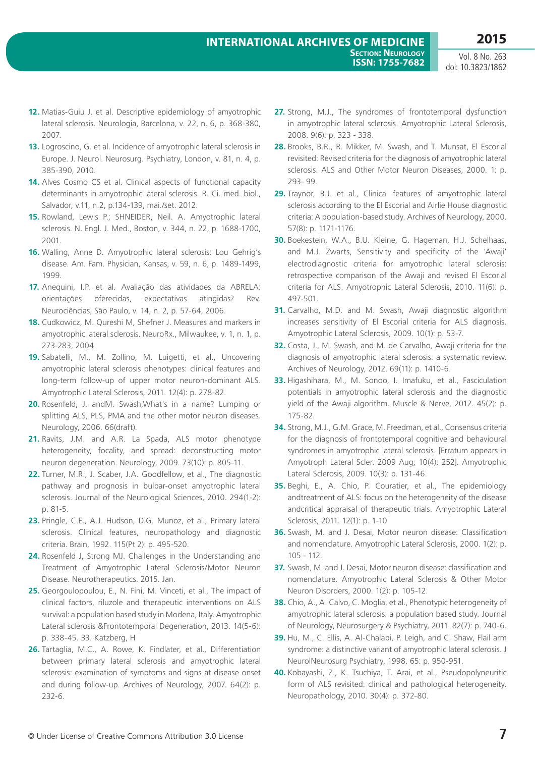- **12.** Matias-Guiu J. et al. Descriptive epidemiology of amyotrophic lateral sclerosis. Neurologia, Barcelona, v. 22, n. 6, p. 368-380, 2007.
- **13.** Logroscino, G. et al. Incidence of amyotrophic lateral sclerosis in Europe. J. Neurol. Neurosurg. Psychiatry, London, v. 81, n. 4, p. 385-390, 2010.
- 14. Alves Cosmo CS et al. Clinical aspects of functional capacity determinants in amyotrophic lateral sclerosis. R. Ci. med. biol., Salvador, v.11, n.2, p.134-139, mai./set. 2012.
- **15.** Rowland, Lewis P.; SHNEIDER, Neil. A. Amyotrophic lateral sclerosis. N. Engl. J. Med., Boston, v. 344, n. 22, p. 1688-1700, 2001.
- **16.** Walling, Anne D. Amyotrophic lateral sclerosis: Lou Gehrig's disease. Am. Fam. Physician, Kansas, v. 59, n. 6, p. 1489-1499, 1999.
- **17.** Anequini, I.P. et al. Avaliação das atividades da ABRELA: orientações oferecidas, expectativas atingidas? Rev. Neurociências, São Paulo, v. 14, n. 2, p. 57-64, 2006.
- **18.** Cudkowicz, M. Qureshi M, Shefner J. Measures and markers in amyotrophic lateral sclerosis. NeuroRx., Milwaukee, v. 1, n. 1, p. 273-283, 2004.
- **19.** Sabatelli, M., M. Zollino, M. Luigetti, et al., Uncovering amyotrophic lateral sclerosis phenotypes: clinical features and long-term follow-up of upper motor neuron-dominant ALS. Amyotrophic Lateral Sclerosis, 2011. 12(4): p. 278-82.
- **20.** Rosenfeld, J. andM. Swash,What's in a name? Lumping or splitting ALS, PLS, PMA and the other motor neuron diseases. Neurology, 2006. 66(draft).
- **21.** Ravits, J.M. and A.R. La Spada, ALS motor phenotype heterogeneity, focality, and spread: deconstructing motor neuron degeneration. Neurology, 2009. 73(10): p. 805-11.
- **22.** Turner, M.R., J. Scaber, J.A. Goodfellow, et al., The diagnostic pathway and prognosis in bulbar-onset amyotrophic lateral sclerosis. Journal of the Neurological Sciences, 2010. 294(1-2): p. 81-5.
- **23.** Pringle, C.E., A.J. Hudson, D.G. Munoz, et al., Primary lateral sclerosis. Clinical features, neuropathology and diagnostic criteria. Brain, 1992. 115(Pt 2): p. 495-520.
- **24.** Rosenfeld J, Strong MJ. Challenges in the Understanding and Treatment of Amyotrophic Lateral Sclerosis/Motor Neuron Disease. Neurotherapeutics. 2015. Jan.
- **25.** Georgoulopoulou, E., N. Fini, M. Vinceti, et al., The impact of clinical factors, riluzole and therapeutic interventions on ALS survival: a population based study in Modena, Italy. Amyotrophic Lateral sclerosis &Frontotemporal Degeneration, 2013. 14(5-6): p. 338-45. 33. Katzberg, H
- **26.** Tartaglia, M.C., A. Rowe, K. Findlater, et al., Differentiation between primary lateral sclerosis and amyotrophic lateral sclerosis: examination of symptoms and signs at disease onset and during follow-up. Archives of Neurology, 2007. 64(2): p. 232-6.
- **27.** Strong, M.J., The syndromes of frontotemporal dysfunction in amyotrophic lateral sclerosis. Amyotrophic Lateral Sclerosis, 2008. 9(6): p. 323 - 338.
- **28.** Brooks, B.R., R. Mikker, M. Swash, and T. Munsat, El Escorial revisited: Revised criteria for the diagnosis of amyotrophic lateral sclerosis. ALS and Other Motor Neuron Diseases, 2000. 1: p. 293- 99.
- **29.** Traynor, B.J. et al., Clinical features of amyotrophic lateral sclerosis according to the El Escorial and Airlie House diagnostic criteria: A population-based study. Archives of Neurology, 2000. 57(8): p. 1171-1176.
- **30.** Boekestein, W.A., B.U. Kleine, G. Hageman, H.J. Schelhaas, and M.J. Zwarts, Sensitivity and specificity of the 'Awaji' electrodiagnostic criteria for amyotrophic lateral sclerosis: retrospective comparison of the Awaji and revised El Escorial criteria for ALS. Amyotrophic Lateral Sclerosis, 2010. 11(6): p. 497-501.
- **31.** Carvalho, M.D. and M. Swash, Awaji diagnostic algorithm increases sensitivity of El Escorial criteria for ALS diagnosis. Amyotrophic Lateral Sclerosis, 2009. 10(1): p. 53-7.
- **32.** Costa, J., M. Swash, and M. de Carvalho, Awaji criteria for the diagnosis of amyotrophic lateral sclerosis: a systematic review. Archives of Neurology, 2012. 69(11): p. 1410-6.
- **33.** Higashihara, M., M. Sonoo, I. Imafuku, et al., Fasciculation potentials in amyotrophic lateral sclerosis and the diagnostic yield of the Awaji algorithm. Muscle & Nerve, 2012. 45(2): p. 175-82.
- **34.** Strong, M.J., G.M. Grace, M. Freedman, et al., Consensus criteria for the diagnosis of frontotemporal cognitive and behavioural syndromes in amyotrophic lateral sclerosis. [Erratum appears in Amyotroph Lateral Scler. 2009 Aug; 10(4): 252]. Amyotrophic Lateral Sclerosis, 2009. 10(3): p. 131-46.
- **35.** Beghi, E., A. Chio, P. Couratier, et al., The epidemiology andtreatment of ALS: focus on the heterogeneity of the disease andcritical appraisal of therapeutic trials. Amyotrophic Lateral Sclerosis, 2011. 12(1): p. 1-10
- **36.** Swash, M. and J. Desai, Motor neuron disease: Classification and nomenclature. Amyotrophic Lateral Sclerosis, 2000. 1(2): p. 105 - 112.
- **37.** Swash, M. and J. Desai, Motor neuron disease: classification and nomenclature. Amyotrophic Lateral Sclerosis & Other Motor Neuron Disorders, 2000. 1(2): p. 105-12.
- **38.** Chio, A., A. Calvo, C. Moglia, et al., Phenotypic heterogeneity of amyotrophic lateral sclerosis: a population based study. Journal of Neurology, Neurosurgery & Psychiatry, 2011. 82(7): p. 740-6.
- **39.** Hu, M., C. Ellis, A. Al-Chalabi, P. Leigh, and C. Shaw, Flail arm syndrome: a distinctive variant of amyotrophic lateral sclerosis. J NeurolNeurosurg Psychiatry, 1998. 65: p. 950-951.
- **40.** Kobayashi, Z., K. Tsuchiya, T. Arai, et al., Pseudopolyneuritic form of ALS revisited: clinical and pathological heterogeneity. Neuropathology, 2010. 30(4): p. 372-80.